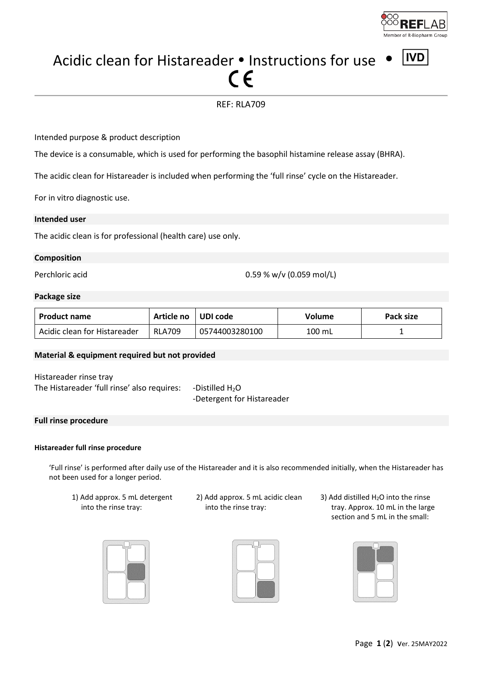

**IVD** 

# Acidic clean for Histareader  $\cdot$  Instructions for use

# REF: RLA709

Intended purpose & product description

The device is a consumable, which is used for performing the basophil histamine release assay (BHRA).

The acidic clean for Histareader is included when performing the 'full rinse' cycle on the Histareader.

For in vitro diagnostic use.

### **Intended user**

The acidic clean is for professional (health care) use only.

### **Composition**

Perchloric acid 0.59 % w/v (0.059 mol/L)

### **Package size**

| <b>Product name</b>          | Article no UDI code |                | Volume | Pack size |
|------------------------------|---------------------|----------------|--------|-----------|
| Acidic clean for Histareader | <b>RLA709</b>       | 05744003280100 | 100 mL |           |

### **Material & equipment required but not provided**

Histareader rinse tray The Histareader 'full rinse' also requires: -Distilled  $H_2O$ 

-Detergent for Histareader

### **Full rinse procedure**

### **Histareader full rinse procedure**

'Full rinse' is performed after daily use of the Histareader and it is also recommended initially, when the Histareader has not been used for a longer period.

1) Add approx. 5 mL detergent into the rinse tray:







3) Add distilled  $H_2O$  into the rinse tray. Approx. 10 mL in the large section and 5 mL in the small: